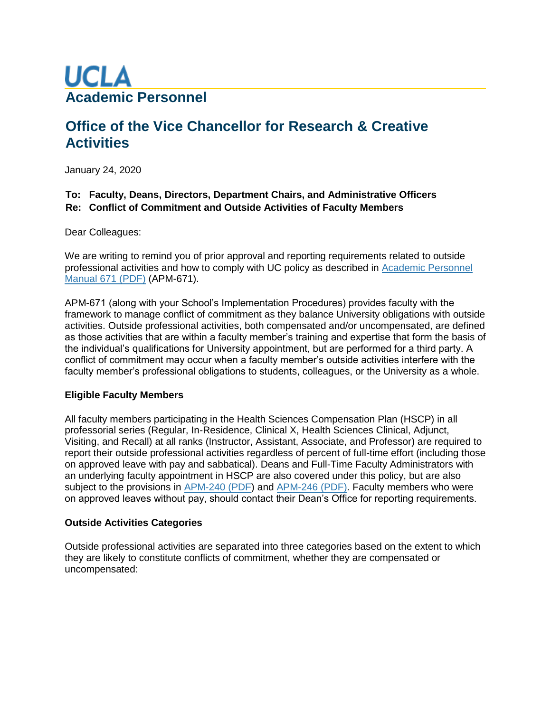

# **Office of the Vice Chancellor for Research & Creative Activities**

January 24, 2020

## **To: Faculty, Deans, Directors, Department Chairs, and Administrative Officers Re: Conflict of Commitment and Outside Activities of Faculty Members**

Dear Colleagues:

We are writing to remind you of prior approval and reporting requirements related to outside professional activities and how to comply with UC policy as described in [Academic Personnel](https://www.ucop.edu/academic-personnel-programs/_files/apm/apm-671.pdf)  [Manual 671 \(PDF\)](https://www.ucop.edu/academic-personnel-programs/_files/apm/apm-671.pdf) (APM-671).

APM-671 (along with your School's Implementation Procedures) provides faculty with the framework to manage conflict of commitment as they balance University obligations with outside activities. Outside professional activities, both compensated and/or uncompensated, are defined as those activities that are within a faculty member's training and expertise that form the basis of the individual's qualifications for University appointment, but are performed for a third party. A conflict of commitment may occur when a faculty member's outside activities interfere with the faculty member's professional obligations to students, colleagues, or the University as a whole.

## **Eligible Faculty Members**

All faculty members participating in the Health Sciences Compensation Plan (HSCP) in all professorial series (Regular, In-Residence, Clinical X, Health Sciences Clinical, Adjunct, Visiting, and Recall) at all ranks (Instructor, Assistant, Associate, and Professor) are required to report their outside professional activities regardless of percent of full-time effort (including those on approved leave with pay and sabbatical). Deans and Full-Time Faculty Administrators with an underlying faculty appointment in HSCP are also covered under this policy, but are also subject to the provisions in [APM-240 \(PDF\)](https://ucop.edu/academic-personnel-programs/_files/apm/apm-240.pdf) and [APM-246 \(PDF\).](https://ucop.edu/academic-personnel-programs/_files/apm/apm-246.pdf) Faculty members who were on approved leaves without pay, should contact their Dean's Office for reporting requirements.

#### **Outside Activities Categories**

Outside professional activities are separated into three categories based on the extent to which they are likely to constitute conflicts of commitment, whether they are compensated or uncompensated: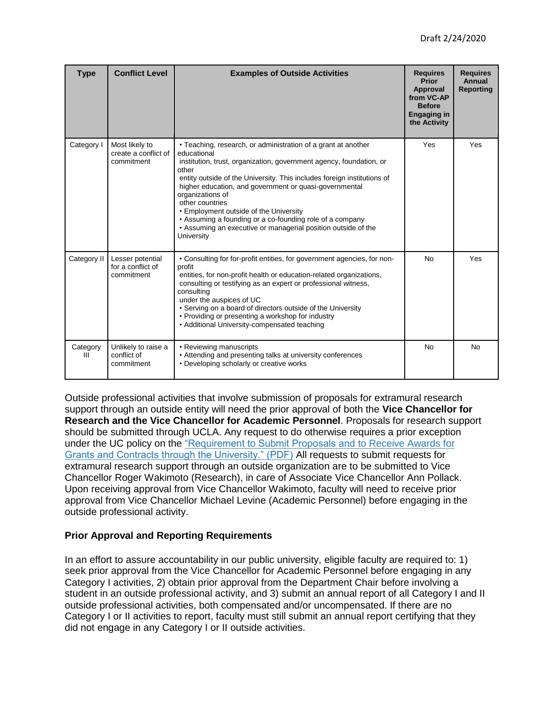| <b>Type</b>   | <b>Conflict Level</b>                                | <b>Examples of Outside Activities</b>                                                                                                                                                                                                                                                                                                                                                                                                                                                                                         | <b>Requires</b><br>Prior<br>Approval<br>from VC-AP<br><b>Before</b><br><b>Engaging in</b><br>the Activity | <b>Requires</b><br><b>Annual</b><br><b>Reporting</b> |
|---------------|------------------------------------------------------|-------------------------------------------------------------------------------------------------------------------------------------------------------------------------------------------------------------------------------------------------------------------------------------------------------------------------------------------------------------------------------------------------------------------------------------------------------------------------------------------------------------------------------|-----------------------------------------------------------------------------------------------------------|------------------------------------------------------|
| Category I    | Most likely to<br>create a conflict of<br>commitment | · Teaching, research, or administration of a grant at another<br>educational<br>institution, trust, organization, government agency, foundation, or<br>other<br>entity outside of the University. This includes foreign institutions of<br>higher education, and government or quasi-governmental<br>organizations of<br>other countries<br>• Employment outside of the University<br>• Assuming a founding or a co-founding role of a company<br>• Assuming an executive or managerial position outside of the<br>University | Yes                                                                                                       | Yes                                                  |
| Category II   | Lesser potential<br>for a conflict of<br>commitment  | • Consulting for for-profit entities, for government agencies, for non-<br>profit<br>entities, for non-profit health or education-related organizations,<br>consulting or testifying as an expert or professional witness,<br>consulting<br>under the auspices of UC<br>• Serving on a board of directors outside of the University<br>• Providing or presenting a workshop for industry<br>• Additional University-compensated teaching                                                                                      | <b>No</b>                                                                                                 | Yes                                                  |
| Category<br>Ш | Unlikely to raise a<br>conflict of<br>commitment     | • Reviewing manuscripts<br>• Attending and presenting talks at university conferences<br>• Developing scholarly or creative works                                                                                                                                                                                                                                                                                                                                                                                             | <b>No</b>                                                                                                 | <b>No</b>                                            |

Outside professional activities that involve submission of proposals for extramural research support through an outside entity will need the prior approval of both the **Vice Chancellor for Research and the Vice Chancellor for Academic Personnel**. Proposals for research support should be submitted through UCLA. Any request to do otherwise requires a prior exception under the UC policy on the ["Requirement to Submit Proposals and to Receive Awards for](https://policy.ucop.edu/doc/2500500/ReqSubmitProp-Awar)  [Grants and Contracts through the University." \(PDF\)](https://policy.ucop.edu/doc/2500500/ReqSubmitProp-Awar) All requests to submit requests for extramural research support through an outside organization are to be submitted to Vice Chancellor Roger Wakimoto (Research), in care of Associate Vice Chancellor Ann Pollack. Upon receiving approval from Vice Chancellor Wakimoto, faculty will need to receive prior approval from Vice Chancellor Michael Levine (Academic Personnel) before engaging in the outside professional activity.

## **Prior Approval and Reporting Requirements**

In an effort to assure accountability in our public university, eligible faculty are required to: 1) seek prior approval from the Vice Chancellor for Academic Personnel before engaging in any Category I activities, 2) obtain prior approval from the Department Chair before involving a student in an outside professional activity, and 3) submit an annual report of all Category I and II outside professional activities, both compensated and/or uncompensated. If there are no Category I or II activities to report, faculty must still submit an annual report certifying that they did not engage in any Category I or II outside activities.